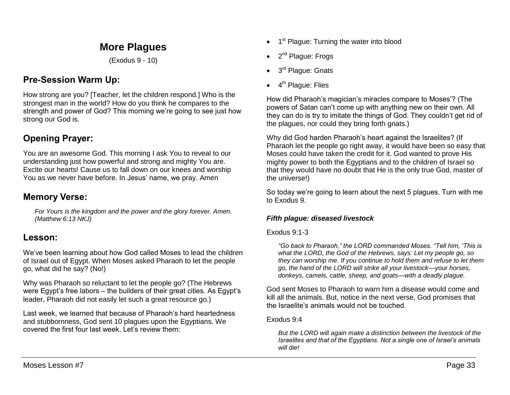# **More Plagues**

(Exodus 9 - 10)

# **Pre-Session Warm Up:**

How strong are you? [Teacher, let the children respond.] Who is the strongest man in the world? How do you think he compares to the strength and power of God? This morning we're going to see just how strong our God is.

# **Opening Prayer:**

You are an awesome God. This morning I ask You to reveal to our understanding just how powerful and strong and mighty You are. Excite our hearts! Cause us to fall down on our knees and worship You as we never have before. In Jesus' name, we pray. Amen

## **Memory Verse:**

*For Yours is the kingdom and the power and the glory forever. Amen. (Matthew 6:13 NKJ)*

## **Lesson:**

We've been learning about how God called Moses to lead the children of Israel out of Egypt. When Moses asked Pharaoh to let the people go, what did he say? (No!)

Why was Pharaoh so reluctant to let the people go? (The Hebrews were Egypt's free labors – the builders of their great cities. As Egypt's leader, Pharaoh did not easily let such a great resource go.)

Last week, we learned that because of Pharaoh's hard heartedness and stubbornness, God sent 10 plagues upon the Egyptians. We covered the first four last week. Let's review them:

- 1<sup>st</sup> Plague: Turning the water into blood
- 2<sup>nd</sup> Plague: Frogs
- 3<sup>rd</sup> Plague: Gnats
- 4<sup>th</sup> Plague: Flies

How did Pharaoh's magician's miracles compare to Moses'? (The powers of Satan can't come up with anything new on their own. All they can do is try to imitate the things of God. They couldn't get rid of the plagues, nor could they bring forth gnats.)

Why did God harden Pharaoh's heart against the Israelites? (If Pharaoh let the people go right away, it would have been so easy that Moses could have taken the credit for it. God wanted to prove His mighty power to both the Egyptians and to the children of Israel so that they would have no doubt that He is the only true God, master of the universe!)

So today we're going to learn about the next 5 plagues. Turn with me to Exodus 9.

## *Fifth plague: diseased livestock*

## Exodus 9:1-3

*"Go back to Pharaoh," the LORD commanded Moses. "Tell him, 'This is what the LORD, the God of the Hebrews, says: Let my people go, so they can worship me. If you continue to hold them and refuse to let them go, the hand of the LORD will strike all your livestock—your horses, donkeys, camels, cattle, sheep, and goats—with a deadly plague.* 

God sent Moses to Pharaoh to warn him a disease would come and kill all the animals. But, notice in the next verse, God promises that the Israelite's animals would not be touched.

## Exodus 9:4

*But the LORD will again make a distinction between the livestock of the Israelites and that of the Egyptians. Not a single one of Israel's animals will die!*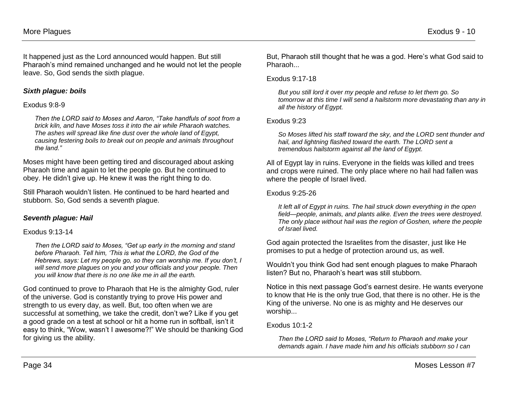It happened just as the Lord announced would happen. But still Pharaoh's mind remained unchanged and he would not let the people leave. So, God sends the sixth plague.

## *Sixth plague: boils*

### Exodus 9:8-9

*Then the LORD said to Moses and Aaron, "Take handfuls of soot from a brick kiln, and have Moses toss it into the air while Pharaoh watches. The ashes will spread like fine dust over the whole land of Egypt, causing festering boils to break out on people and animals throughout the land."*

Moses might have been getting tired and discouraged about asking Pharaoh time and again to let the people go. But he continued to obey. He didn't give up. He knew it was the right thing to do.

Still Pharaoh wouldn't listen. He continued to be hard hearted and stubborn. So, God sends a seventh plague.

## *Seventh plague: Hail*

#### Exodus 9:13-14

*Then the LORD said to Moses, "Get up early in the morning and stand before Pharaoh. Tell him, 'This is what the LORD, the God of the Hebrews, says: Let my people go, so they can worship me. If you don't, I will send more plagues on you and your officials and your people. Then you will know that there is no one like me in all the earth.* 

God continued to prove to Pharaoh that He is the almighty God, ruler of the universe. God is constantly trying to prove His power and strength to us every day, as well. But, too often when we are successful at something, we take the credit, don't we? Like if you get a good grade on a test at school or hit a home run in softball, isn't it easy to think, "Wow, wasn't I awesome?!" We should be thanking God for giving us the ability.

But, Pharaoh still thought that he was a god. Here's what God said to Pharaoh...

### Exodus 9:17-18

*But you still lord it over my people and refuse to let them go. So tomorrow at this time I will send a hailstorm more devastating than any in all the history of Egypt.* 

## Exodus 9:23

*So Moses lifted his staff toward the sky, and the LORD sent thunder and hail, and lightning flashed toward the earth. The LORD sent a tremendous hailstorm against all the land of Egypt.*

All of Egypt lay in ruins. Everyone in the fields was killed and trees and crops were ruined. The only place where no hail had fallen was where the people of Israel lived.

## Exodus 9:25-26

*It left all of Egypt in ruins. The hail struck down everything in the open field—people, animals, and plants alike. Even the trees were destroyed. The only place without hail was the region of Goshen, where the people of Israel lived.* 

God again protected the Israelites from the disaster, just like He promises to put a hedge of protection around us, as well.

Wouldn't you think God had sent enough plagues to make Pharaoh listen? But no, Pharaoh's heart was still stubborn.

Notice in this next passage God's earnest desire. He wants everyone to know that He is the only true God, that there is no other. He is the King of the universe. No one is as mighty and He deserves our worship...

Exodus 10:1-2

*Then the LORD said to Moses, "Return to Pharaoh and make your demands again. I have made him and his officials stubborn so I can*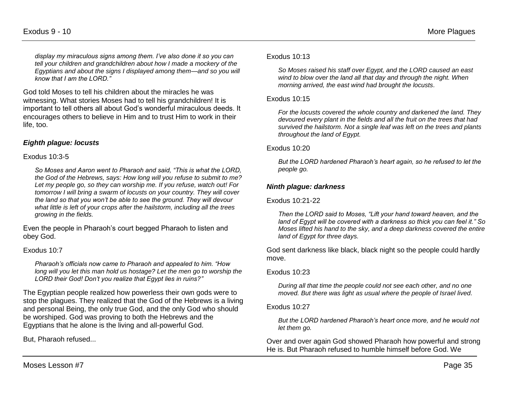*display my miraculous signs among them. I've also done it so you can tell your children and grandchildren about how I made a mockery of the Egyptians and about the signs I displayed among them—and so you will know that I am the LORD."* 

God told Moses to tell his children about the miracles he was witnessing. What stories Moses had to tell his grandchildren! It is important to tell others all about God's wonderful miraculous deeds. It encourages others to believe in Him and to trust Him to work in their life, too.

## *Eighth plague: locusts*

#### Exodus 10:3-5

*So Moses and Aaron went to Pharaoh and said, "This is what the LORD, the God of the Hebrews, says: How long will you refuse to submit to me? Let my people go, so they can worship me. If you refuse, watch out! For tomorrow I will bring a swarm of locusts on your country. They will cover the land so that you won't be able to see the ground. They will devour what little is left of your crops after the hailstorm, including all the trees growing in the fields.* 

Even the people in Pharaoh's court begged Pharaoh to listen and obey God.

#### Exodus 10:7

*Pharaoh's officials now came to Pharaoh and appealed to him. "How long will you let this man hold us hostage? Let the men go to worship the LORD their God! Don't you realize that Egypt lies in ruins?"*

The Egyptian people realized how powerless their own gods were to stop the plagues. They realized that the God of the Hebrews is a living and personal Being, the only true God, and the only God who should be worshiped. God was proving to both the Hebrews and the Egyptians that he alone is the living and all-powerful God.

But, Pharaoh refused...

#### Exodus 10:13

*So Moses raised his staff over Egypt, and the LORD caused an east wind to blow over the land all that day and through the night. When morning arrived, the east wind had brought the locusts.*

#### Exodus 10:15

*For the locusts covered the whole country and darkened the land. They devoured every plant in the fields and all the fruit on the trees that had survived the hailstorm. Not a single leaf was left on the trees and plants throughout the land of Egypt.*

#### Exodus 10:20

*But the LORD hardened Pharaoh's heart again, so he refused to let the people go.*

#### *Ninth plague: darkness*

#### Exodus 10:21-22

*Then the LORD said to Moses, "Lift your hand toward heaven, and the land of Egypt will be covered with a darkness so thick you can feel it." So Moses lifted his hand to the sky, and a deep darkness covered the entire land of Egypt for three days.* 

God sent darkness like black, black night so the people could hardly move.

#### Exodus 10:23

*During all that time the people could not see each other, and no one moved. But there was light as usual where the people of Israel lived.*

#### Exodus 10:27

*But the LORD hardened Pharaoh's heart once more, and he would not let them go.*

Over and over again God showed Pharaoh how powerful and strong He is. But Pharaoh refused to humble himself before God. We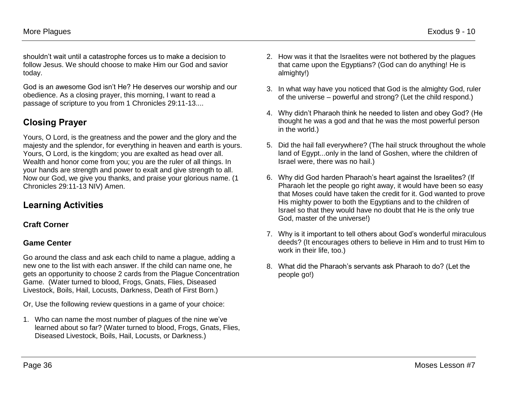shouldn't wait until a catastrophe forces us to make a decision to follow Jesus. We should choose to make Him our God and savior today.

God is an awesome God isn't He? He deserves our worship and our obedience. As a closing prayer, this morning, I want to read a passage of scripture to you from 1 Chronicles 29:11-13....

# **Closing Prayer**

Yours, O Lord, is the greatness and the power and the glory and the majesty and the splendor, for everything in heaven and earth is yours. Yours, O Lord, is the kingdom; you are exalted as head over all. Wealth and honor come from you; you are the ruler of all things. In your hands are strength and power to exalt and give strength to all. Now our God, we give you thanks, and praise your glorious name. (1 Chronicles 29:11-13 NIV) Amen.

## **Learning Activities**

## **Craft Corner**

## **Game Center**

Go around the class and ask each child to name a plague, adding a new one to the list with each answer. If the child can name one, he gets an opportunity to choose 2 cards from the Plague Concentration Game. (Water turned to blood, Frogs, Gnats, Flies, Diseased Livestock, Boils, Hail, Locusts, Darkness, Death of First Born.)

Or, Use the following review questions in a game of your choice:

1. Who can name the most number of plagues of the nine we've learned about so far? (Water turned to blood, Frogs, Gnats, Flies, Diseased Livestock, Boils, Hail, Locusts, or Darkness.)

- 2. How was it that the Israelites were not bothered by the plagues that came upon the Egyptians? (God can do anything! He is almighty!)
- 3. In what way have you noticed that God is the almighty God, ruler of the universe – powerful and strong? (Let the child respond.)
- 4. Why didn't Pharaoh think he needed to listen and obey God? (He thought he was a god and that he was the most powerful person in the world.)
- 5. Did the hail fall everywhere? (The hail struck throughout the whole land of Egypt...only in the land of Goshen, where the children of Israel were, there was no hail.)
- 6. Why did God harden Pharaoh's heart against the Israelites? (If Pharaoh let the people go right away, it would have been so easy that Moses could have taken the credit for it. God wanted to prove His mighty power to both the Egyptians and to the children of Israel so that they would have no doubt that He is the only true God, master of the universe!)
- 7. Why is it important to tell others about God's wonderful miraculous deeds? (It encourages others to believe in Him and to trust Him to work in their life, too.)
- 8. What did the Pharaoh's servants ask Pharaoh to do? (Let the people go!)